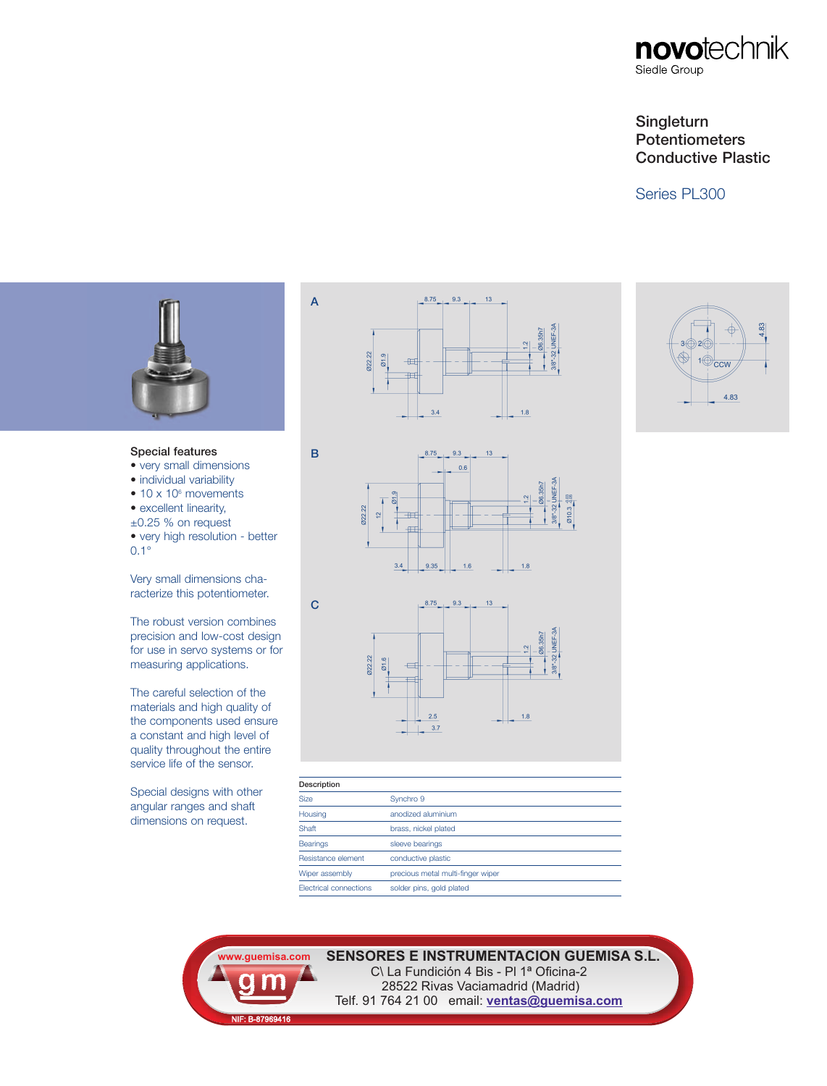# **Singleturn Potentiometers Conductive Plastic**

## Series PL300



#### **Special features**

- very small dimensions
- individual variability
- $\bullet$  10 x 10 $\textdegree$  movements • excellent linearity,
- ±0.25 % on request
- very high resolution better
- 0.1°

Very small dimensions characterize this potentiometer.

The robust version combines precision and low-cost design for use in servo systems or for measuring applications.

The careful selection of the materials and high quality of the components used ensure a constant and high level of quality throughout the entire service life of the sensor.

Special designs with other angular ranges and shaft dimensions on request.





 $1.8$ 





**A**

**B**



 $1.6$ 

 $3.4$ 

9.35

| Description            |                                   |  |
|------------------------|-----------------------------------|--|
| <b>Size</b>            | Synchro 9                         |  |
| Housing                | anodized aluminium                |  |
| Shaft                  | brass, nickel plated              |  |
| <b>Bearings</b>        | sleeve bearings                   |  |
| Resistance element     | conductive plastic                |  |
| Wiper assembly         | precious metal multi-finger wiper |  |
| Electrical connections | solder pins, gold plated          |  |
|                        |                                   |  |

**SENSORES E INSTRUMENTACION GUEMISA S.L. SENSORE E INSTRUMENTACIÓN 4 Bis - PI 1<sup>ª</sup> Oficina-2** 

**www.guemisa.com** NIF: B-87969416

28522 Rivas Vaciamadrid (Madrid) Telf. 91 764 21 00 email: **ventas@guemisa.com**